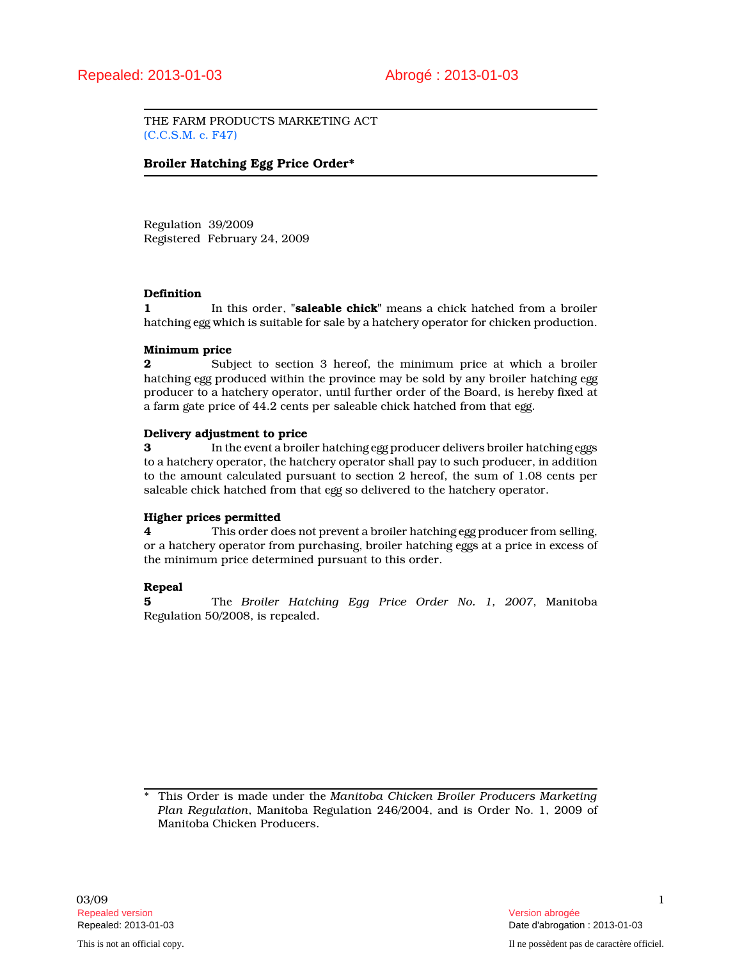THE FARM PRODUCTS MARKETING ACT (C.C.S.M. c. F47)

## Broiler Hatching Egg Price Order\*

Regulation 39/2009 Registered February 24, 2009

#### Definition

1 In this order, "**saleable chick**" means a chick hatched from a broiler hatching egg which is suitable for sale by a hatchery operator for chicken production.

#### Minimum price

2 Subject to section 3 hereof, the minimum price at which a broiler hatching egg produced within the province may be sold by any broiler hatching egg producer to a hatchery operator, until further order of the Board, is hereby fixed at a farm gate price of 44.2 cents per saleable chick hatched from that egg.

#### Delivery adjustment to price

**3** In the event a broiler hatching egg producer delivers broiler hatching eggs to a hatchery operator, the hatchery operator shall pay to such producer, in addition to the amount calculated pursuant to section 2 hereof, the sum of 1.08 cents per saleable chick hatched from that egg so delivered to the hatchery operator.

## Higher prices permitted

4 This order does not prevent a broiler hatching egg producer from selling, or a hatchery operator from purchasing, broiler hatching eggs at a price in excess of the minimum price determined pursuant to this order.

## Repeal

5 The Broiler Hatching Egg Price Order No. 1, 2007, Manitoba Regulation 50/2008, is repealed.

<sup>\*</sup> This Order is made under the Manitoba Chicken Broiler Producers Marketing Plan Regulation, Manitoba Regulation 246/2004, and is Order No. 1, 2009 of Manitoba Chicken Producers.